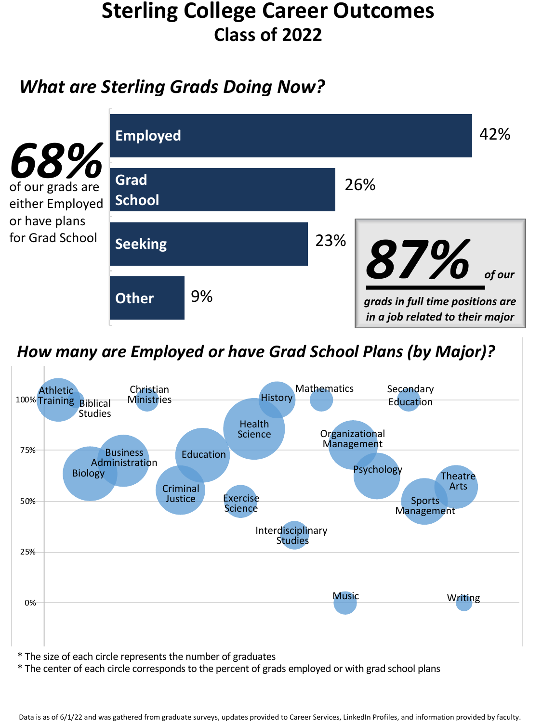# **Sterling College Career Outcomes Class of 2022**

## *What are Sterling Grads Doing Now?*



## How many are Employed or have Grad School Plans (by Major)?



- \* The size of each circle represents the number of graduates
- \* The center of each circle corresponds to the percent of grads employed or with grad school plans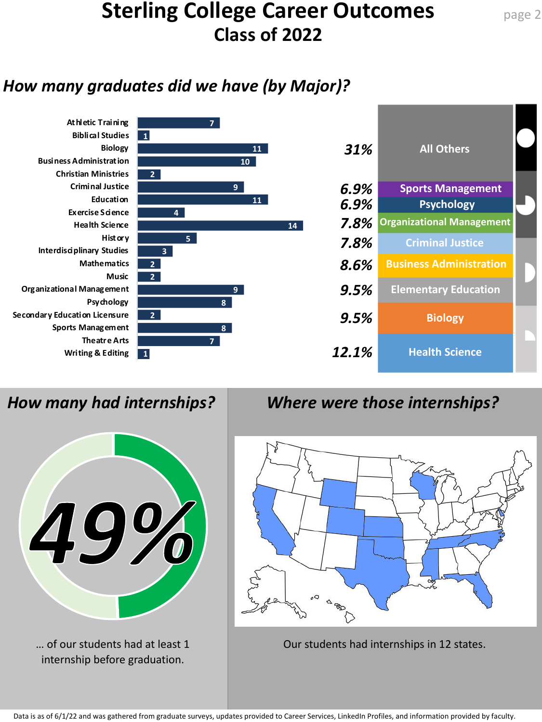# **Sterling College Career Outcomes Class of 2022**

### *How many graduates did we have (by Major)?*

![](_page_1_Figure_2.jpeg)

![](_page_1_Picture_4.jpeg)

internship before graduation.

## *How many had internships? Where were those internships?*

![](_page_1_Figure_7.jpeg)

... of our students had at least  $1$   $\qquad$  Our students had internships in 12 states.